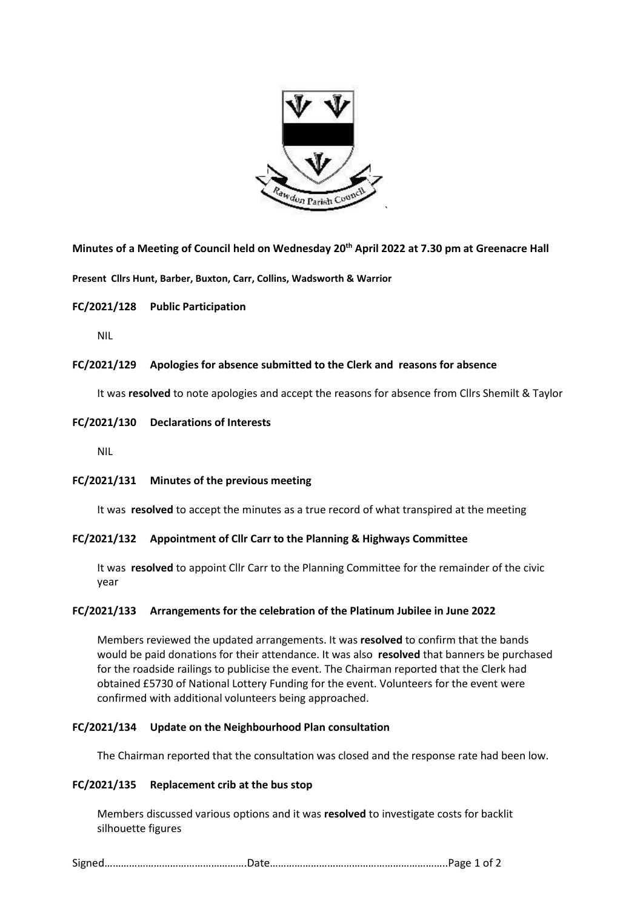

**Minutes of a Meeting of Council held on Wednesday 20th April 2022 at 7.30 pm at Greenacre Hall**

**Present Cllrs Hunt, Barber, Buxton, Carr, Collins, Wadsworth & Warrior**

# **FC/2021/128 Public Participation**

NIL

# **FC/2021/129 Apologies for absence submitted to the Clerk and reasons for absence**

It was **resolved** to note apologies and accept the reasons for absence from Cllrs Shemilt & Taylor

# **FC/2021/130 Declarations of Interests**

NIL

# **FC/2021/131 Minutes of the previous meeting**

It was **resolved** to accept the minutes as a true record of what transpired at the meeting

# **FC/2021/132 Appointment of Cllr Carr to the Planning & Highways Committee**

It was **resolved** to appoint Cllr Carr to the Planning Committee for the remainder of the civic year

# **FC/2021/133 Arrangements for the celebration of the Platinum Jubilee in June 2022**

Members reviewed the updated arrangements. It was **resolved** to confirm that the bands would be paid donations for their attendance. It was also **resolved** that banners be purchased for the roadside railings to publicise the event. The Chairman reported that the Clerk had obtained £5730 of National Lottery Funding for the event. Volunteers for the event were confirmed with additional volunteers being approached.

# **FC/2021/134 Update on the Neighbourhood Plan consultation**

The Chairman reported that the consultation was closed and the response rate had been low.

# **FC/2021/135 Replacement crib at the bus stop**

Members discussed various options and it was **resolved** to investigate costs for backlit silhouette figures

|--|--|--|